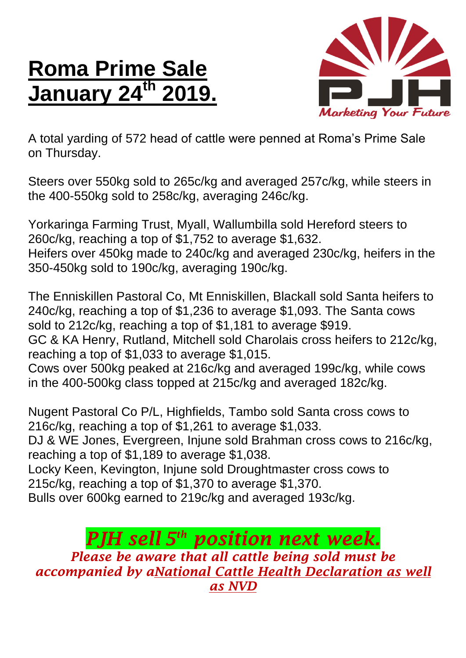## **Roma Prime Sale January 24<sup>th</sup>**



A total yarding of 572 head of cattle were penned at Roma's Prime Sale on Thursday.

Steers over 550kg sold to 265c/kg and averaged 257c/kg, while steers in the 400-550kg sold to 258c/kg, averaging 246c/kg.

Yorkaringa Farming Trust, Myall, Wallumbilla sold Hereford steers to 260c/kg, reaching a top of \$1,752 to average \$1,632. Heifers over 450kg made to 240c/kg and averaged 230c/kg, heifers in the 350-450kg sold to 190c/kg, averaging 190c/kg.

The Enniskillen Pastoral Co, Mt Enniskillen, Blackall sold Santa heifers to 240c/kg, reaching a top of \$1,236 to average \$1,093. The Santa cows sold to 212c/kg, reaching a top of \$1,181 to average \$919.

GC & KA Henry, Rutland, Mitchell sold Charolais cross heifers to 212c/kg, reaching a top of \$1,033 to average \$1,015.

Cows over 500kg peaked at 216c/kg and averaged 199c/kg, while cows in the 400-500kg class topped at 215c/kg and averaged 182c/kg.

Nugent Pastoral Co P/L, Highfields, Tambo sold Santa cross cows to 216c/kg, reaching a top of \$1,261 to average \$1,033.

DJ & WE Jones, Evergreen, Injune sold Brahman cross cows to 216c/kg, reaching a top of \$1,189 to average \$1,038.

Locky Keen, Kevington, Injune sold Droughtmaster cross cows to 215c/kg, reaching a top of \$1,370 to average \$1,370.

Bulls over 600kg earned to 219c/kg and averaged 193c/kg.

*PJH sell 5 th position next week. Please be aware that all cattle being sold must be accompanied by aNational Cattle Health Declaration as well as NVD*